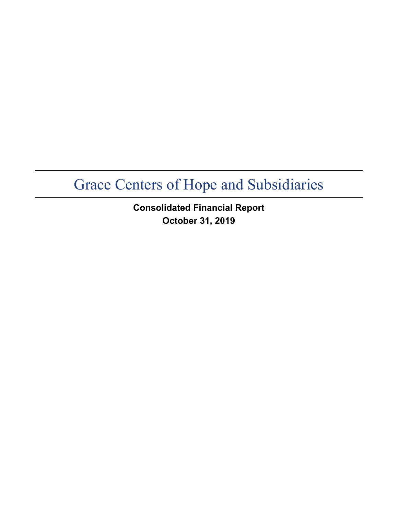**Consolidated Financial Report October 31, 2019**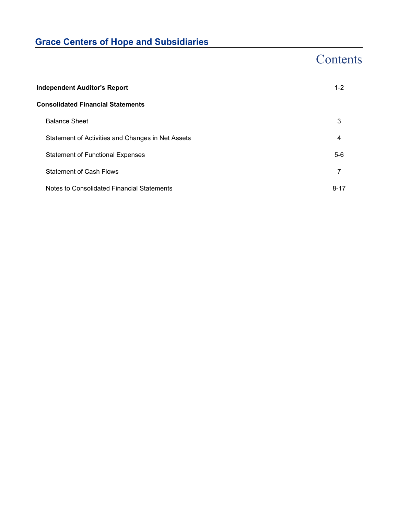# **Contents**

| <b>Independent Auditor's Report</b>               |       |  |  |  |  |
|---------------------------------------------------|-------|--|--|--|--|
| <b>Consolidated Financial Statements</b>          |       |  |  |  |  |
| <b>Balance Sheet</b>                              | 3     |  |  |  |  |
| Statement of Activities and Changes in Net Assets | 4     |  |  |  |  |
| <b>Statement of Functional Expenses</b>           | $5-6$ |  |  |  |  |
| <b>Statement of Cash Flows</b>                    | 7     |  |  |  |  |
| Notes to Consolidated Financial Statements        | 8-17  |  |  |  |  |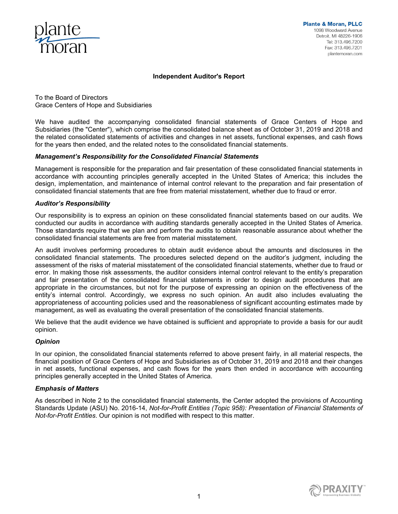

#### **Independent Auditor's Report**

To the Board of Directors Grace Centers of Hope and Subsidiaries

We have audited the accompanying consolidated financial statements of Grace Centers of Hope and Subsidiaries (the "Center"), which comprise the consolidated balance sheet as of October 31, 2019 and 2018 and the related consolidated statements of activities and changes in net assets, functional expenses, and cash flows for the years then ended, and the related notes to the consolidated financial statements.

#### *Management's Responsibility for the Consolidated Financial Statements*

Management is responsible for the preparation and fair presentation of these consolidated financial statements in accordance with accounting principles generally accepted in the United States of America; this includes the design, implementation, and maintenance of internal control relevant to the preparation and fair presentation of consolidated financial statements that are free from material misstatement, whether due to fraud or error.

#### *Auditor's Responsibility*

Our responsibility is to express an opinion on these consolidated financial statements based on our audits. We conducted our audits in accordance with auditing standards generally accepted in the United States of America. Those standards require that we plan and perform the audits to obtain reasonable assurance about whether the consolidated financial statements are free from material misstatement.

An audit involves performing procedures to obtain audit evidence about the amounts and disclosures in the consolidated financial statements. The procedures selected depend on the auditor's judgment, including the assessment of the risks of material misstatement of the consolidated financial statements, whether due to fraud or error. In making those risk assessments, the auditor considers internal control relevant to the entity's preparation and fair presentation of the consolidated financial statements in order to design audit procedures that are appropriate in the circumstances, but not for the purpose of expressing an opinion on the effectiveness of the entity's internal control. Accordingly, we express no such opinion. An audit also includes evaluating the appropriateness of accounting policies used and the reasonableness of significant accounting estimates made by management, as well as evaluating the overall presentation of the consolidated financial statements.

We believe that the audit evidence we have obtained is sufficient and appropriate to provide a basis for our audit opinion.

#### *Opinion*

In our opinion, the consolidated financial statements referred to above present fairly, in all material respects, the financial position of Grace Centers of Hope and Subsidiaries as of October 31, 2019 and 2018 and their changes in net assets, functional expenses, and cash flows for the years then ended in accordance with accounting principles generally accepted in the United States of America.

#### *Emphasis of Matters*

As described in Note 2 to the consolidated financial statements, the Center adopted the provisions of Accounting Standards Update (ASU) No. 2016-14, *Not-for-Profit Entities (Topic 958): Presentation of Financial Statements of Not-for-Profit Entities*. Our opinion is not modified with respect to this matter.

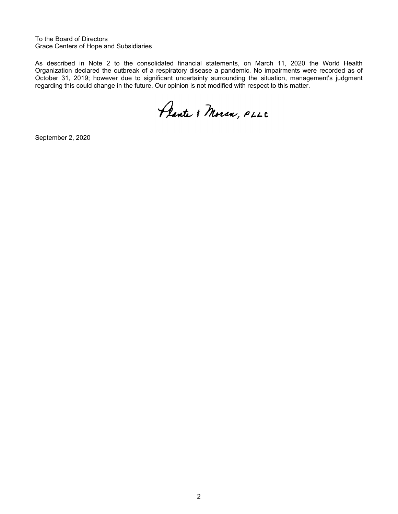To the Board of Directors Grace Centers of Hope and Subsidiaries

As described in Note 2 to the consolidated financial statements, on March 11, 2020 the World Health Organization declared the outbreak of a respiratory disease a pandemic. No impairments were recorded as of October 31, 2019; however due to significant uncertainty surrounding the situation, management's judgment regarding this could change in the future. Our opinion is not modified with respect to this matter.

Plante & Moran, PLLC

September 2, 2020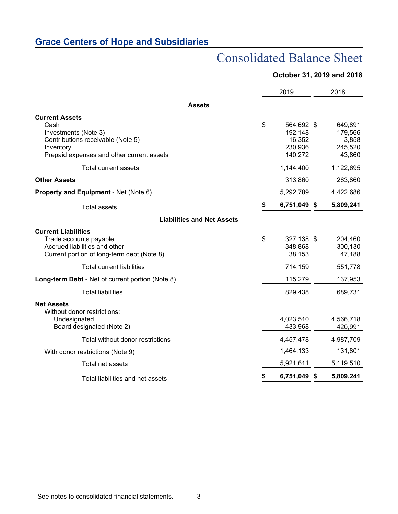# Consolidated Balance Sheet

|                                                                                                                                                            |                                                       | October 31, 2019 and 2018                        |
|------------------------------------------------------------------------------------------------------------------------------------------------------------|-------------------------------------------------------|--------------------------------------------------|
|                                                                                                                                                            | 2019                                                  | 2018                                             |
| <b>Assets</b>                                                                                                                                              |                                                       |                                                  |
| <b>Current Assets</b><br>\$<br>Cash<br>Investments (Note 3)<br>Contributions receivable (Note 5)<br>Inventory<br>Prepaid expenses and other current assets | 564,692 \$<br>192,148<br>16,352<br>230,936<br>140,272 | 649,891<br>179,566<br>3,858<br>245,520<br>43,860 |
| Total current assets                                                                                                                                       | 1,144,400                                             | 1,122,695                                        |
| <b>Other Assets</b>                                                                                                                                        | 313,860                                               | 263,860                                          |
| Property and Equipment - Net (Note 6)                                                                                                                      | 5,292,789                                             | 4,422,686                                        |
| \$<br><b>Total assets</b>                                                                                                                                  | 6,751,049 \$                                          | 5,809,241                                        |
| <b>Liabilities and Net Assets</b>                                                                                                                          |                                                       |                                                  |
| <b>Current Liabilities</b><br>Trade accounts payable<br>\$<br>Accrued liabilities and other<br>Current portion of long-term debt (Note 8)                  | 327,138 \$<br>348,868<br>38,153                       | 204,460<br>300,130<br>47,188                     |
| <b>Total current liabilities</b>                                                                                                                           | 714,159                                               | 551,778                                          |
| Long-term Debt - Net of current portion (Note 8)                                                                                                           | 115,279                                               | 137,953                                          |
| <b>Total liabilities</b>                                                                                                                                   | 829,438                                               | 689,731                                          |
| <b>Net Assets</b><br>Without donor restrictions:<br>Undesignated<br>Board designated (Note 2)                                                              | 4,023,510<br>433,968                                  | 4,566,718<br>420,991                             |
| Total without donor restrictions                                                                                                                           | 4,457,478                                             | 4,987,709                                        |
| With donor restrictions (Note 9)                                                                                                                           | 1,464,133                                             | 131,801                                          |
| Total net assets                                                                                                                                           | 5,921,611                                             | 5,119,510                                        |
| Total liabilities and net assets                                                                                                                           | 6,751,049 \$                                          | 5,809,241                                        |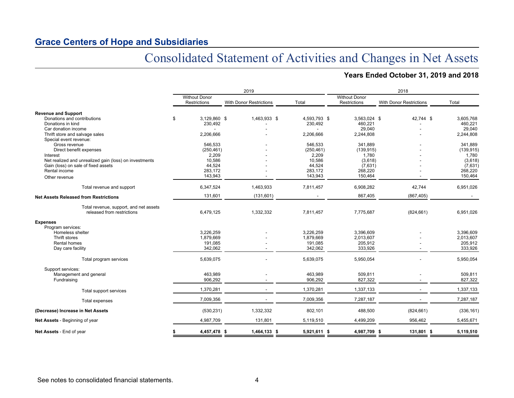# Consolidated Statement of Activities and Changes in Net Assets

## **Years Ended October 31, 2019 and 2018**

|                                                                                                                |                                      | 2019                           |                                   | 2018                                 |                         |                                   |  |  |  |
|----------------------------------------------------------------------------------------------------------------|--------------------------------------|--------------------------------|-----------------------------------|--------------------------------------|-------------------------|-----------------------------------|--|--|--|
|                                                                                                                | <b>Without Donor</b><br>Restrictions | <b>With Donor Restrictions</b> | Total                             | <b>Without Donor</b><br>Restrictions | With Donor Restrictions | Total                             |  |  |  |
| <b>Revenue and Support</b><br>Donations and contributions<br>Donations in kind                                 | \$<br>3.129.860 \$<br>230,492        | 1,463,933 \$                   | 4,593,793 \$<br>230,492           | 3,563,024 \$<br>460,221              | 42,744 \$               | 3,605,768<br>460,221              |  |  |  |
| Car donation income<br>Thrift store and salvage sales<br>Special event revenue:                                | 2,206,666                            |                                | 2,206,666                         | 29,040<br>2,244,808                  |                         | 29,040<br>2,244,808               |  |  |  |
| Gross revenue<br>Direct benefit expenses<br>Interest                                                           | 546,533<br>(250, 461)<br>2,209       |                                | 546,533<br>(250, 461)<br>2,209    | 341,889<br>(139, 915)<br>1,780       |                         | 341,889<br>(139, 915)<br>1,780    |  |  |  |
| Net realized and unrealized gain (loss) on investments<br>Gain (loss) on sale of fixed assets<br>Rental income | 10,586<br>44,524<br>283,172          |                                | 10,586<br>44,524<br>283,172       | (3,618)<br>(7,631)<br>268,220        |                         | (3,618)<br>(7,631)<br>268,220     |  |  |  |
| Other revenue<br>Total revenue and support                                                                     | 143,943<br>6,347,524                 | 1,463,933                      | 143,943<br>7,811,457              | 150,464<br>6,908,282                 | 42,744                  | 150,464<br>6,951,026              |  |  |  |
| <b>Net Assets Released from Restrictions</b>                                                                   | 131,601                              | (131, 601)                     |                                   | 867,405                              | (867, 405)              |                                   |  |  |  |
| Total revenue, support, and net assets<br>released from restrictions                                           | 6,479,125                            | 1,332,332                      | 7,811,457                         | 7,775,687                            | (824, 661)              | 6,951,026                         |  |  |  |
| <b>Expenses</b><br>Program services:<br>Homeless shelter<br>Thrift stores<br>Rental homes                      | 3,226,259<br>1,879,669<br>191,085    |                                | 3,226,259<br>1,879,669<br>191,085 | 3,396,609<br>2,013,607<br>205,912    |                         | 3,396,609<br>2,013,607<br>205,912 |  |  |  |
| Day care facility                                                                                              | 342,062                              |                                | 342,062                           | 333,926                              |                         | 333,926                           |  |  |  |
| Total program services                                                                                         | 5,639,075                            |                                | 5,639,075                         | 5,950,054                            |                         | 5,950,054                         |  |  |  |
| Support services:<br>Management and general<br>Fundraising                                                     | 463,989<br>906,292                   |                                | 463,989<br>906,292                | 509,811<br>827,322                   |                         | 509,811<br>827,322                |  |  |  |
| Total support services                                                                                         | 1,370,281                            |                                | 1,370,281                         | 1,337,133                            |                         | 1,337,133                         |  |  |  |
| Total expenses                                                                                                 | 7,009,356                            |                                | 7,009,356                         | 7,287,187                            |                         | 7,287,187                         |  |  |  |
| (Decrease) Increase in Net Assets                                                                              | (530, 231)                           | 1,332,332                      | 802,101                           | 488,500                              | (824, 661)              | (336, 161)                        |  |  |  |
| Net Assets - Beginning of year                                                                                 | 4,987,709                            | 131,801                        | 5,119,510                         | 4,499,209                            | 956,462                 | 5,455,671                         |  |  |  |
| Net Assets - End of year                                                                                       | 4,457,478 \$                         | 1,464,133 \$                   | 5,921,611 \$                      | 4,987,709 \$                         | 131,801 \$              | 5,119,510                         |  |  |  |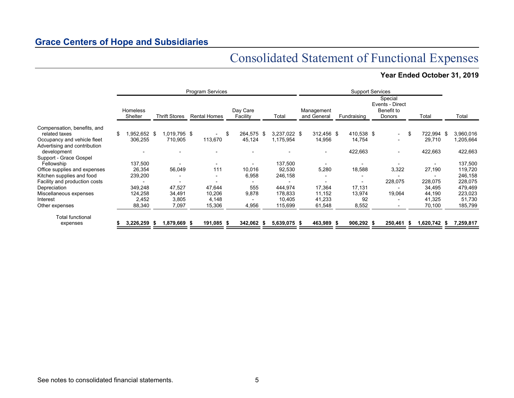# Consolidated Statement of Functional Expenses

## **Year Ended October 31, 2019**

|                                             | <b>Program Services</b>    |  |                          |      |                          |                      | <b>Support Services</b> |                           |  |             |  |                                                           |    |                   |           |
|---------------------------------------------|----------------------------|--|--------------------------|------|--------------------------|----------------------|-------------------------|---------------------------|--|-------------|--|-----------------------------------------------------------|----|-------------------|-----------|
|                                             | <b>Homeless</b><br>Shelter |  | <b>Thrift Stores</b>     |      | <b>Rental Homes</b>      | Day Care<br>Facility | Total                   | Management<br>and General |  | Fundraising |  | Special<br>Events - Direct<br>Benefit to<br><b>Donors</b> |    | Total             | Total     |
| Compensation, benefits, and                 |                            |  |                          |      |                          |                      |                         |                           |  |             |  |                                                           |    |                   |           |
| related taxes                               | ,952,652 \$                |  | 1,019,795 \$             |      | $\overline{\phantom{a}}$ | \$<br>264,575 \$     | 3,237,022 \$            | 312,456 \$                |  | 410,538 \$  |  | $\sim$                                                    | \$ | 722,994 \$        | 3,960,016 |
| Occupancy and vehicle fleet                 | 306,255                    |  | 710,905                  |      | 113,670                  | 45,124               | 1,175,954               | 14,956                    |  | 14,754      |  | $\overline{\phantom{0}}$                                  |    | 29,710            | 1,205,664 |
| Advertising and contribution<br>development |                            |  |                          |      |                          |                      |                         |                           |  | 422,663     |  | $\blacksquare$                                            |    | 422,663           | 422,663   |
| Support - Grace Gospel                      |                            |  |                          |      |                          |                      |                         |                           |  |             |  |                                                           |    |                   |           |
| Fellowship                                  | 137,500                    |  |                          |      |                          |                      | 137.500                 |                           |  |             |  |                                                           |    |                   | 137,500   |
| Office supplies and expenses                | 26,354                     |  | 56,049                   |      | 111                      | 10,016               | 92,530                  | 5,280                     |  | 18,588      |  | 3,322                                                     |    | 27,190            | 119,720   |
| Kitchen supplies and food                   | 239,200                    |  | $\overline{a}$           |      | $\blacksquare$           | 6,958                | 246,158                 |                           |  |             |  |                                                           |    |                   | 246,158   |
| Facility and production costs               |                            |  | $\overline{\phantom{0}}$ |      |                          |                      |                         |                           |  |             |  | 228,075                                                   |    | 228,075           | 228,075   |
| Depreciation                                | 349,248                    |  | 47,527                   |      | 47,644                   | 555                  | 444,974                 | 17,364                    |  | 17,131      |  |                                                           |    | 34,495            | 479,469   |
| Miscellaneous expenses                      | 124.258                    |  | 34,491                   |      | 10,206                   | 9,878                | 178.833                 | 11,152                    |  | 13,974      |  | 19,064                                                    |    | 44,190            | 223,023   |
| Interest                                    | 2,452                      |  | 3,805                    |      | 4,148                    |                      | 10,405                  | 41,233                    |  | 92          |  |                                                           |    | 41,325            | 51,730    |
| Other expenses                              | 88,340                     |  | 7,097                    |      | 15,306                   | 4,956                | 115,699                 | 61,548                    |  | 8,552       |  |                                                           |    | 70,100            | 185,799   |
| Total functional                            |                            |  |                          |      |                          |                      |                         |                           |  |             |  |                                                           |    |                   |           |
| expenses                                    | $3,226,259$ \$             |  | 1,879,669                | - 35 | 191,085 \$               | 342,062              | 5,639,075 \$            | 463,989                   |  | 906,292 \$  |  | 250,461 \$                                                |    | 1,620,742<br>- 56 | 7,259,817 |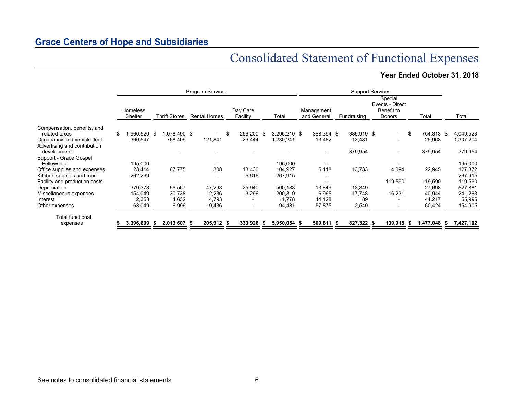# Consolidated Statement of Functional Expenses

## **Year Ended October 31, 2018**

|                                      |                            |                      | <b>Program Services</b> |                      |                | <b>Support Services</b> |                           |  |             |  |                                                    |                  |     |           |
|--------------------------------------|----------------------------|----------------------|-------------------------|----------------------|----------------|-------------------------|---------------------------|--|-------------|--|----------------------------------------------------|------------------|-----|-----------|
|                                      | <b>Homeless</b><br>Shelter | <b>Thrift Stores</b> | <b>Rental Homes</b>     | Day Care<br>Facility | Total          |                         | Management<br>and General |  | Fundraising |  | Special<br>Events - Direct<br>Benefit to<br>Donors | Total            |     | Total     |
| Compensation, benefits, and          |                            |                      |                         |                      |                |                         |                           |  |             |  |                                                    |                  |     |           |
| related taxes                        | ,960,520 \$                | 1,078,490 \$         |                         | \$<br>256,200 \$     | $3,295,210$ \$ |                         | 368,394 \$                |  | 385,919 \$  |  | $\sim$                                             | \$<br>754,313 \$ |     | 4,049,523 |
| Occupancy and vehicle fleet          | 360,547                    | 768,409              | 121,841                 | 29.444               | 1,280,241      |                         | 13,482                    |  | 13,481      |  |                                                    | 26,963           |     | 1,307,204 |
| Advertising and contribution         |                            |                      |                         |                      |                |                         |                           |  |             |  |                                                    |                  |     |           |
| development                          |                            |                      |                         |                      |                |                         |                           |  | 379,954     |  | $\overline{\phantom{a}}$                           | 379,954          |     | 379,954   |
| Support - Grace Gospel<br>Fellowship | 195,000                    |                      |                         |                      | 195,000        |                         |                           |  |             |  |                                                    |                  |     | 195,000   |
| Office supplies and expenses         | 23,414                     | 67,775               | 308                     | 13,430               | 104,927        |                         | 5,118                     |  | 13,733      |  | 4,094                                              | 22,945           |     | 127,872   |
| Kitchen supplies and food            | 262,299                    |                      | $\blacksquare$          | 5,616                | 267,915        |                         |                           |  |             |  |                                                    |                  |     | 267,915   |
| Facility and production costs        |                            |                      |                         |                      |                |                         |                           |  |             |  | 119,590                                            | 119,590          |     | 119,590   |
| Depreciation                         | 370,378                    | 56,567               | 47,298                  | 25,940               | 500,183        |                         | 13,849                    |  | 13,849      |  |                                                    | 27,698           |     | 527,881   |
| Miscellaneous expenses               | 154,049                    | 30,738               | 12,236                  | 3,296                | 200,319        |                         | 6,965                     |  | 17,748      |  | 16,231                                             | 40,944           |     | 241,263   |
| Interest                             | 2,353                      | 4,632                | 4,793                   |                      | 11,778         |                         | 44,128                    |  | 89          |  |                                                    | 44,217           |     | 55,995    |
| Other expenses                       | 68,049                     | 6,996                | 19,436                  |                      | 94,481         |                         | 57,875                    |  | 2,549       |  |                                                    | 60,424           |     | 154,905   |
|                                      |                            |                      |                         |                      |                |                         |                           |  |             |  |                                                    |                  |     |           |
| Total functional<br>expenses         | 3,396,609 \$               | 2,013,607 \$         | 205,912 \$              | 333,926<br>- 55      | 5,950,054 \$   |                         | 509,811 \$                |  | 827,322 \$  |  | $139.915$ \$                                       | 1,477,048        | -55 | 7,427,102 |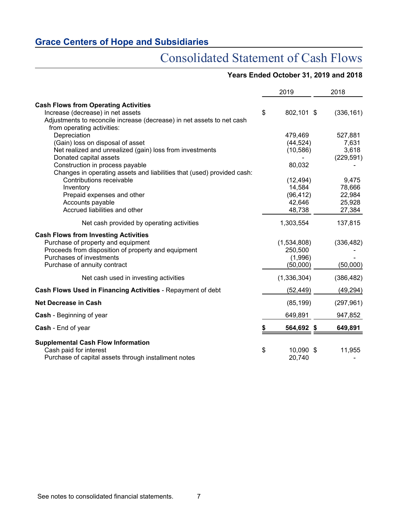# Consolidated Statement of Cash Flows

## **Years Ended October 31, 2019 and 2018**

|                                                                                                                                                                                                                                                                                                                                                                                                               | 2019                                                                                                | 2018                                                                                     |
|---------------------------------------------------------------------------------------------------------------------------------------------------------------------------------------------------------------------------------------------------------------------------------------------------------------------------------------------------------------------------------------------------------------|-----------------------------------------------------------------------------------------------------|------------------------------------------------------------------------------------------|
| <b>Cash Flows from Operating Activities</b><br>Increase (decrease) in net assets<br>Adjustments to reconcile increase (decrease) in net assets to net cash                                                                                                                                                                                                                                                    | \$<br>802,101 \$                                                                                    | (336, 161)                                                                               |
| from operating activities:<br>Depreciation<br>(Gain) loss on disposal of asset<br>Net realized and unrealized (gain) loss from investments<br>Donated capital assets<br>Construction in process payable<br>Changes in operating assets and liabilities that (used) provided cash:<br>Contributions receivable<br>Inventory<br>Prepaid expenses and other<br>Accounts payable<br>Accrued liabilities and other | 479,469<br>(44, 524)<br>(10, 586)<br>80,032<br>(12, 494)<br>14,584<br>(96, 412)<br>42,646<br>48,738 | 527,881<br>7,631<br>3,618<br>(229, 591)<br>9,475<br>78,666<br>22,984<br>25,928<br>27,384 |
| Net cash provided by operating activities                                                                                                                                                                                                                                                                                                                                                                     | 1,303,554                                                                                           | 137,815                                                                                  |
| <b>Cash Flows from Investing Activities</b><br>Purchase of property and equipment<br>Proceeds from disposition of property and equipment<br>Purchases of investments<br>Purchase of annuity contract<br>Net cash used in investing activities                                                                                                                                                                 | (1,534,808)<br>250,500<br>(1,996)<br>(50,000)<br>(1,336,304)                                        | (336, 482)<br>(50,000)<br>(386, 482)                                                     |
| Cash Flows Used in Financing Activities - Repayment of debt                                                                                                                                                                                                                                                                                                                                                   | (52, 449)                                                                                           | (49, 294)                                                                                |
| <b>Net Decrease in Cash</b>                                                                                                                                                                                                                                                                                                                                                                                   | (85, 199)                                                                                           | (297, 961)                                                                               |
| <b>Cash</b> - Beginning of year                                                                                                                                                                                                                                                                                                                                                                               | 649,891                                                                                             | 947,852                                                                                  |
| Cash - End of year                                                                                                                                                                                                                                                                                                                                                                                            | \$<br>564,692 \$                                                                                    | 649,891                                                                                  |
| <b>Supplemental Cash Flow Information</b><br>Cash paid for interest<br>Purchase of capital assets through installment notes                                                                                                                                                                                                                                                                                   | \$<br>10,090 \$<br>20,740                                                                           | 11,955                                                                                   |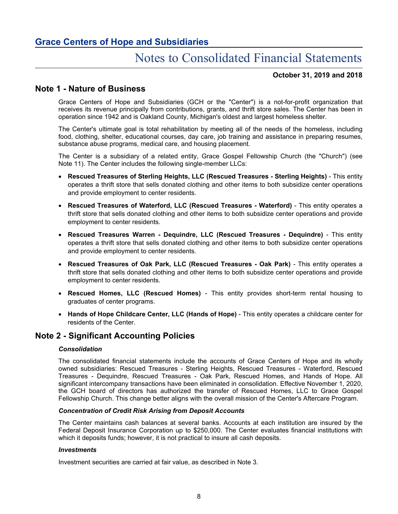# Notes to Consolidated Financial Statements

#### **October 31, 2019 and 2018**

### **Note 1 - Nature of Business**

Grace Centers of Hope and Subsidiaries (GCH or the "Center") is a not-for-profit organization that receives its revenue principally from contributions, grants, and thrift store sales. The Center has been in operation since 1942 and is Oakland County, Michigan's oldest and largest homeless shelter.

The Center's ultimate goal is total rehabilitation by meeting all of the needs of the homeless, including food, clothing, shelter, educational courses, day care, job training and assistance in preparing resumes, substance abuse programs, medical care, and housing placement.

The Center is a subsidiary of a related entity, Grace Gospel Fellowship Church (the "Church") (see Note 11). The Center includes the following single-member LLCs:

- **Rescued Treasures of Sterling Heights, LLC (Rescued Treasures Sterling Heights)** This entity operates a thrift store that sells donated clothing and other items to both subsidize center operations and provide employment to center residents.
- **Rescued Treasures of Waterford, LLC (Rescued Treasures Waterford)** This entity operates a thrift store that sells donated clothing and other items to both subsidize center operations and provide employment to center residents.
- **Rescued Treasures Warren Dequindre, LLC (Rescued Treasures Dequindre)** This entity operates a thrift store that sells donated clothing and other items to both subsidize center operations and provide employment to center residents.
- **Rescued Treasures of Oak Park, LLC (Rescued Treasures Oak Park)** This entity operates a thrift store that sells donated clothing and other items to both subsidize center operations and provide employment to center residents.
- **Rescued Homes, LLC (Rescued Homes)** This entity provides short-term rental housing to graduates of center programs.
- **Hands of Hope Childcare Center, LLC (Hands of Hope)** This entity operates a childcare center for residents of the Center.

### **Note 2 - Significant Accounting Policies**

#### *Consolidation*

The consolidated financial statements include the accounts of Grace Centers of Hope and its wholly owned subsidiaries: Rescued Treasures - Sterling Heights, Rescued Treasures - Waterford, Rescued Treasures - Dequindre, Rescued Treasures - Oak Park, Rescued Homes, and Hands of Hope. All significant intercompany transactions have been eliminated in consolidation. Effective November 1, 2020, the GCH board of directors has authorized the transfer of Rescued Homes, LLC to Grace Gospel Fellowship Church. This change better aligns with the overall mission of the Center's Aftercare Program.

#### *Concentration of Credit Risk Arising from Deposit Accounts*

The Center maintains cash balances at several banks. Accounts at each institution are insured by the Federal Deposit Insurance Corporation up to \$250,000. The Center evaluates financial institutions with which it deposits funds; however, it is not practical to insure all cash deposits.

#### *Investments*

Investment securities are carried at fair value, as described in Note 3.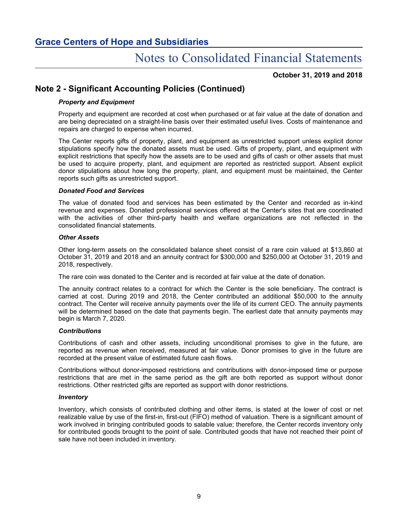## Notes to Consolidated Financial Statements

#### **October 31, 2019 and 2018**

## **Note 2 - Significant Accounting Policies (Continued)**

#### *Property and Equipment*

Property and equipment are recorded at cost when purchased or at fair value at the date of donation and are being depreciated on a straight-line basis over their estimated useful lives. Costs of maintenance and repairs are charged to expense when incurred.

The Center reports gifts of property, plant, and equipment as unrestricted support unless explicit donor stipulations specify how the donated assets must be used. Gifts of property, plant, and equipment with explicit restrictions that specify how the assets are to be used and gifts of cash or other assets that must be used to acquire property, plant, and equipment are reported as restricted support. Absent explicit donor stipulations about how long the property, plant, and equipment must be maintained, the Center reports such gifts as unrestricted support.

#### *Donated Food and Services*

The value of donated food and services has been estimated by the Center and recorded as in-kind revenue and expenses. Donated professional services offered at the Center's sites that are coordinated with the activities of other third-party health and welfare organizations are not reflected in the consolidated financial statements.

#### *Other Assets*

Other long-term assets on the consolidated balance sheet consist of a rare coin valued at \$13,860 at October 31, 2019 and 2018 and an annuity contract for \$300,000 and \$250,000 at October 31, 2019 and 2018, respectively.

The rare coin was donated to the Center and is recorded at fair value at the date of donation.

The annuity contract relates to a contract for which the Center is the sole beneficiary. The contract is carried at cost. During 2019 and 2018, the Center contributed an additional \$50,000 to the annuity contract. The Center will receive annuity payments over the life of its current CEO. The annuity payments will be determined based on the date that payments begin. The earliest date that annuity payments may begin is March 7, 2020.

#### *Contributions*

Contributions of cash and other assets, including unconditional promises to give in the future, are reported as revenue when received, measured at fair value. Donor promises to give in the future are recorded at the present value of estimated future cash flows.

Contributions without donor-imposed restrictions and contributions with donor-imposed time or purpose restrictions that are met in the same period as the gift are both reported as support without donor restrictions. Other restricted gifts are reported as support with donor restrictions.

#### *Inventory*

Inventory, which consists of contributed clothing and other items, is stated at the lower of cost or net realizable value by use of the first-in, first-out (FIFO) method of valuation. There is a significant amount of work involved in bringing contributed goods to salable value; therefore, the Center records inventory only for contributed goods brought to the point of sale. Contributed goods that have not reached their point of sale have not been included in inventory.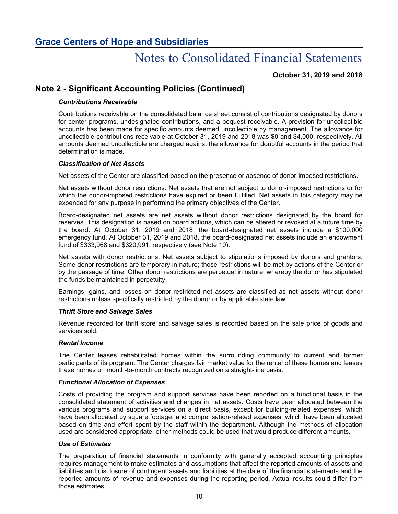# Notes to Consolidated Financial Statements

**October 31, 2019 and 2018**

## **Note 2 - Significant Accounting Policies (Continued)**

#### *Contributions Receivable*

Contributions receivable on the consolidated balance sheet consist of contributions designated by donors for center programs, undesignated contributions, and a bequest receivable. A provision for uncollectible accounts has been made for specific amounts deemed uncollectible by management. The allowance for uncollectible contributions receivable at October 31, 2019 and 2018 was \$0 and \$4,000, respectively. All amounts deemed uncollectible are charged against the allowance for doubtful accounts in the period that determination is made.

#### *Classification of Net Assets*

Net assets of the Center are classified based on the presence or absence of donor-imposed restrictions.

Net assets without donor restrictions: Net assets that are not subject to donor-imposed restrictions or for which the donor-imposed restrictions have expired or been fulfilled. Net assets in this category may be expended for any purpose in performing the primary objectives of the Center.

Board-designated net assets are net assets without donor restrictions designated by the board for reserves. This designation is based on board actions, which can be altered or revoked at a future time by the board. At October 31, 2019 and 2018, the board-designated net assets include a \$100,000 emergency fund. At October 31, 2019 and 2018, the board-designated net assets include an endowment fund of \$333,968 and \$320,991, respectively (see Note 10).

Net assets with donor restrictions: Net assets subject to stipulations imposed by donors and grantors. Some donor restrictions are temporary in nature; those restrictions will be met by actions of the Center or by the passage of time. Other donor restrictions are perpetual in nature, whereby the donor has stipulated the funds be maintained in perpetuity.

Earnings, gains, and losses on donor-restricted net assets are classified as net assets without donor restrictions unless specifically restricted by the donor or by applicable state law.

#### *Thrift Store and Salvage Sales*

Revenue recorded for thrift store and salvage sales is recorded based on the sale price of goods and services sold.

#### *Rental Income*

The Center leases rehabilitated homes within the surrounding community to current and former participants of its program. The Center charges fair market value for the rental of these homes and leases these homes on month-to-month contracts recognized on a straight-line basis.

#### *Functional Allocation of Expenses*

Costs of providing the program and support services have been reported on a functional basis in the consolidated statement of activities and changes in net assets. Costs have been allocated between the various programs and support services on a direct basis, except for building-related expenses, which have been allocated by square footage, and compensation-related expenses, which have been allocated based on time and effort spent by the staff within the department. Although the methods of allocation used are considered appropriate, other methods could be used that would produce different amounts.

#### *Use of Estimates*

The preparation of financial statements in conformity with generally accepted accounting principles requires management to make estimates and assumptions that affect the reported amounts of assets and liabilities and disclosure of contingent assets and liabilities at the date of the financial statements and the reported amounts of revenue and expenses during the reporting period. Actual results could differ from those estimates.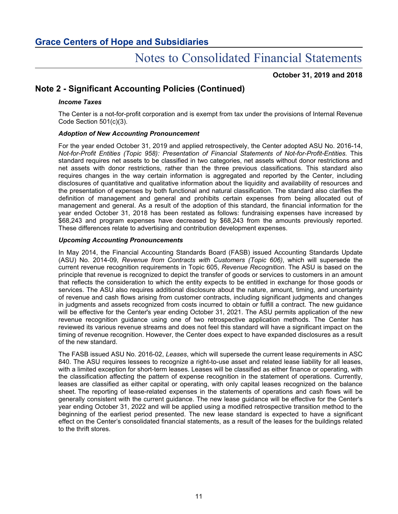**October 31, 2019 and 2018**

## **Note 2 - Significant Accounting Policies (Continued)**

#### *Income Taxes*

The Center is a not-for-profit corporation and is exempt from tax under the provisions of Internal Revenue Code Section 501(c)(3).

#### *Adoption of New Accounting Pronouncement*

For the year ended October 31, 2019 and applied retrospectively, the Center adopted ASU No. 2016-14, *Not-for-Profit Entities (Topic 958): Presentation of Financial Statements of Not-for-Profit-Entities.* This standard requires net assets to be classified in two categories, net assets without donor restrictions and net assets with donor restrictions, rather than the three previous classifications. This standard also requires changes in the way certain information is aggregated and reported by the Center, including disclosures of quantitative and qualitative information about the liquidity and availability of resources and the presentation of expenses by both functional and natural classification. The standard also clarifies the definition of management and general and prohibits certain expenses from being allocated out of management and general. As a result of the adoption of this standard, the financial information for the year ended October 31, 2018 has been restated as follows: fundraising expenses have increased by \$68,243 and program expenses have decreased by \$68,243 from the amounts previously reported. These differences relate to advertising and contribution development expenses.

#### *Upcoming Accounting Pronouncements*

In May 2014, the Financial Accounting Standards Board (FASB) issued Accounting Standards Update (ASU) No. 2014-09, *Revenue from Contracts with Customers (Topic 606)*, which will supersede the current revenue recognition requirements in Topic 605, *Revenue Recognition*. The ASU is based on the principle that revenue is recognized to depict the transfer of goods or services to customers in an amount that reflects the consideration to which the entity expects to be entitled in exchange for those goods or services. The ASU also requires additional disclosure about the nature, amount, timing, and uncertainty of revenue and cash flows arising from customer contracts, including significant judgments and changes in judgments and assets recognized from costs incurred to obtain or fulfill a contract. The new guidance will be effective for the Center's year ending October 31, 2021. The ASU permits application of the new revenue recognition guidance using one of two retrospective application methods. The Center has reviewed its various revenue streams and does not feel this standard will have a significant impact on the timing of revenue recognition. However, the Center does expect to have expanded disclosures as a result of the new standard.

The FASB issued ASU No. 2016-02, *Leases*, which will supersede the current lease requirements in ASC 840. The ASU requires lessees to recognize a right-to-use asset and related lease liability for all leases, with a limited exception for short-term leases. Leases will be classified as either finance or operating, with the classification affecting the pattern of expense recognition in the statement of operations. Currently, leases are classified as either capital or operating, with only capital leases recognized on the balance sheet. The reporting of lease-related expenses in the statements of operations and cash flows will be generally consistent with the current guidance. The new lease guidance will be effective for the Center's year ending October 31, 2022 and will be applied using a modified retrospective transition method to the beginning of the earliest period presented. The new lease standard is expected to have a significant effect on the Center's consolidated financial statements, as a result of the leases for the buildings related to the thrift stores.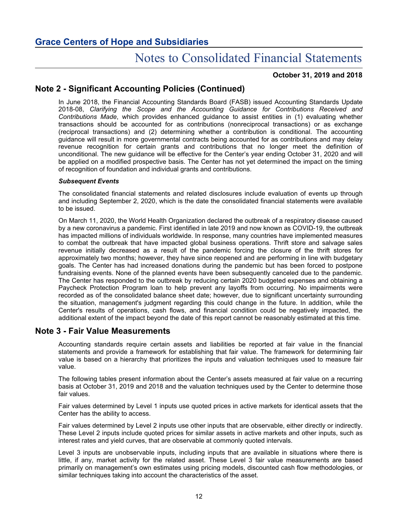#### **October 31, 2019 and 2018**

## **Note 2 - Significant Accounting Policies (Continued)**

In June 2018, the Financial Accounting Standards Board (FASB) issued Accounting Standards Update 2018-08, *Clarifying the Scope and the Accounting Guidance for Contributions Received and Contributions Made*, which provides enhanced guidance to assist entities in (1) evaluating whether transactions should be accounted for as contributions (nonreciprocal transactions) or as exchange (reciprocal transactions) and (2) determining whether a contribution is conditional. The accounting guidance will result in more governmental contracts being accounted for as contributions and may delay revenue recognition for certain grants and contributions that no longer meet the definition of unconditional. The new guidance will be effective for the Center's year ending October 31, 2020 and will be applied on a modified prospective basis. The Center has not yet determined the impact on the timing of recognition of foundation and individual grants and contributions.

#### *Subsequent Events*

The consolidated financial statements and related disclosures include evaluation of events up through and including September 2, 2020, which is the date the consolidated financial statements were available to be issued.

On March 11, 2020, the World Health Organization declared the outbreak of a respiratory disease caused by a new coronavirus a pandemic. First identified in late 2019 and now known as COVID-19, the outbreak has impacted millions of individuals worldwide. In response, many countries have implemented measures to combat the outbreak that have impacted global business operations. Thrift store and salvage sales revenue initially decreased as a result of the pandemic forcing the closure of the thrift stores for approximately two months; however, they have since reopened and are performing in line with budgetary goals. The Center has had increased donations during the pandemic but has been forced to postpone fundraising events. None of the planned events have been subsequently canceled due to the pandemic. The Center has responded to the outbreak by reducing certain 2020 budgeted expenses and obtaining a Paycheck Protection Program loan to help prevent any layoffs from occurring. No impairments were recorded as of the consolidated balance sheet date; however, due to significant uncertainty surrounding the situation, management's judgment regarding this could change in the future. In addition, while the Center's results of operations, cash flows, and financial condition could be negatively impacted, the additional extent of the impact beyond the date of this report cannot be reasonably estimated at this time.

### **Note 3 - Fair Value Measurements**

Accounting standards require certain assets and liabilities be reported at fair value in the financial statements and provide a framework for establishing that fair value. The framework for determining fair value is based on a hierarchy that prioritizes the inputs and valuation techniques used to measure fair value.

The following tables present information about the Center's assets measured at fair value on a recurring basis at October 31, 2019 and 2018 and the valuation techniques used by the Center to determine those fair values.

Fair values determined by Level 1 inputs use quoted prices in active markets for identical assets that the Center has the ability to access.

Fair values determined by Level 2 inputs use other inputs that are observable, either directly or indirectly. These Level 2 inputs include quoted prices for similar assets in active markets and other inputs, such as interest rates and yield curves, that are observable at commonly quoted intervals.

Level 3 inputs are unobservable inputs, including inputs that are available in situations where there is little, if any, market activity for the related asset. These Level 3 fair value measurements are based primarily on management's own estimates using pricing models, discounted cash flow methodologies, or similar techniques taking into account the characteristics of the asset.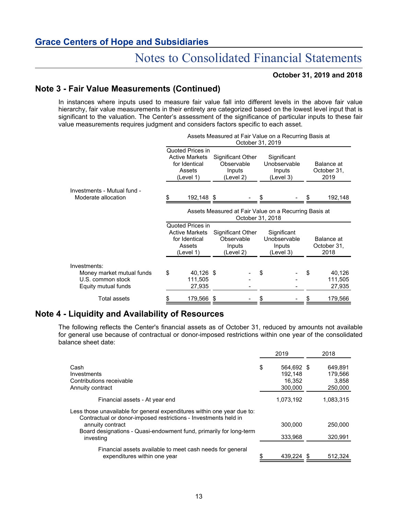#### **October 31, 2019 and 2018**

## **Note 3 - Fair Value Measurements (Continued)**

In instances where inputs used to measure fair value fall into different levels in the above fair value hierarchy, fair value measurements in their entirety are categorized based on the lowest level input that is significant to the valuation. The Center's assessment of the significance of particular inputs to these fair value measurements requires judgment and considers factors specific to each asset.

|                                                                                       |                                                                                   | Assets Measured at Fair Value on a Recurring Basis at         | October 31, 2019                                   |                                   |  |  |  |  |
|---------------------------------------------------------------------------------------|-----------------------------------------------------------------------------------|---------------------------------------------------------------|----------------------------------------------------|-----------------------------------|--|--|--|--|
|                                                                                       | Quoted Prices in<br><b>Active Markets</b><br>for Identical<br>Assets<br>(Level 1) | Significant Other<br>Observable<br>Inputs<br>(Level 2)        | Significant<br>Unobservable<br>Inputs<br>(Level 3) | Balance at<br>October 31,<br>2019 |  |  |  |  |
| Investments - Mutual fund -                                                           |                                                                                   |                                                               |                                                    |                                   |  |  |  |  |
| Moderate allocation                                                                   | 192,148 \$<br>\$                                                                  |                                                               |                                                    | 192,148                           |  |  |  |  |
|                                                                                       | Assets Measured at Fair Value on a Recurring Basis at<br>October 31, 2018         |                                                               |                                                    |                                   |  |  |  |  |
|                                                                                       | Quoted Prices in<br><b>Active Markets</b><br>for Identical<br>Assets<br>(Level 1) | <b>Significant Other</b><br>Observable<br>Inputs<br>(Level 2) | Significant<br>Unobservable<br>Inputs<br>(Level 3) | Balance at<br>October 31,<br>2018 |  |  |  |  |
| Investments:<br>Money market mutual funds<br>U.S. common stock<br>Equity mutual funds | \$<br>40,126 \$<br>111,505<br>27,935                                              |                                                               | \$                                                 | 40,126<br>\$<br>111,505<br>27,935 |  |  |  |  |
| Total assets                                                                          | \$<br>179,566 \$                                                                  |                                                               | S                                                  | 179,566<br>\$                     |  |  |  |  |

### **Note 4 - Liquidity and Availability of Resources**

The following reflects the Center's financial assets as of October 31, reduced by amounts not available for general use because of contractual or donor-imposed restrictions within one year of the consolidated balance sheet date:

|                                                                                                                                                                                                                                                   | 2019                                             | 2018                                   |
|---------------------------------------------------------------------------------------------------------------------------------------------------------------------------------------------------------------------------------------------------|--------------------------------------------------|----------------------------------------|
| Cash<br>Investments<br>Contributions receivable<br>Annuity contract                                                                                                                                                                               | \$<br>564.692 \$<br>192.148<br>16.352<br>300,000 | 649.891<br>179.566<br>3,858<br>250.000 |
| Financial assets - At year end                                                                                                                                                                                                                    | 1,073,192                                        | 1,083,315                              |
| Less those unavailable for general expenditures within one year due to:<br>Contractual or donor-imposed restrictions - Investments held in<br>annuity contract<br>Board designations - Quasi-endowment fund, primarily for long-term<br>investing | 300,000<br>333,968                               | 250,000<br>320,991                     |
| Financial assets available to meet cash needs for general<br>expenditures within one year                                                                                                                                                         | 439,224                                          | 512.324                                |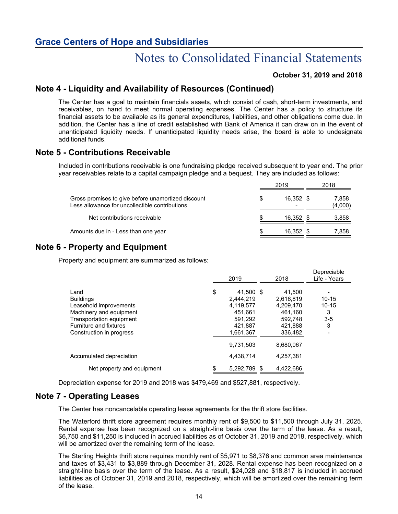#### **October 31, 2019 and 2018**

## **Note 4 - Liquidity and Availability of Resources (Continued)**

The Center has a goal to maintain financials assets, which consist of cash, short-term investments, and receivables, on hand to meet normal operating expenses. The Center has a policy to structure its financial assets to be available as its general expenditures, liabilities, and other obligations come due. In addition, the Center has a line of credit established with Bank of America it can draw on in the event of unanticipated liquidity needs. If unanticipated liquidity needs arise, the board is able to undesignate additional funds.

## **Note 5 - Contributions Receivable**

Included in contributions receivable is one fundraising pledge received subsequent to year end. The prior year receivables relate to a capital campaign pledge and a bequest. They are included as follows:

|                                                                                                      |   | 2019      | 2018             |  |
|------------------------------------------------------------------------------------------------------|---|-----------|------------------|--|
| Gross promises to give before unamortized discount<br>Less allowance for uncollectible contributions | S | 16.352 \$ | 7,858<br>(4,000) |  |
| Net contributions receivable                                                                         |   | 16.352 \$ | 3,858            |  |
| Amounts due in - Less than one year                                                                  |   | 16,352 \$ | 7,858            |  |

### **Note 6 - Property and Equipment**

Property and equipment are summarized as follows:

|                                                                                                                                                                 | 2019                                                                                    | 2018                                                                         | Depreciable<br>Life - Years                                           |
|-----------------------------------------------------------------------------------------------------------------------------------------------------------------|-----------------------------------------------------------------------------------------|------------------------------------------------------------------------------|-----------------------------------------------------------------------|
| Land<br><b>Buildings</b><br>Leasehold improvements<br>Machinery and equipment<br>Transportation equipment<br>Furniture and fixtures<br>Construction in progress | \$<br>41,500 \$<br>2.444.219<br>4,119,577<br>451.661<br>591.292<br>421.887<br>1.661.367 | 41.500<br>2.616.819<br>4,209,470<br>461.160<br>592.748<br>421.888<br>336,482 | $\overline{\phantom{0}}$<br>$10 - 15$<br>$10 - 15$<br>3<br>$3-5$<br>3 |
| Accumulated depreciation                                                                                                                                        | 9.731.503<br>4,438,714                                                                  | 8.680.067<br>4,257,381                                                       |                                                                       |
| Net property and equipment                                                                                                                                      | 5,292,789 \$                                                                            | 4,422,686                                                                    |                                                                       |

Depreciation expense for 2019 and 2018 was \$479,469 and \$527,881, respectively.

## **Note 7 - Operating Leases**

The Center has noncancelable operating lease agreements for the thrift store facilities.

The Waterford thrift store agreement requires monthly rent of \$9,500 to \$11,500 through July 31, 2025. Rental expense has been recognized on a straight-line basis over the term of the lease. As a result, \$6,750 and \$11,250 is included in accrued liabilities as of October 31, 2019 and 2018, respectively, which will be amortized over the remaining term of the lease.

The Sterling Heights thrift store requires monthly rent of \$5,971 to \$8,376 and common area maintenance and taxes of \$3,431 to \$3,889 through December 31, 2028. Rental expense has been recognized on a straight-line basis over the term of the lease. As a result, \$24,028 and \$18,817 is included in accrued liabilities as of October 31, 2019 and 2018, respectively, which will be amortized over the remaining term of the lease.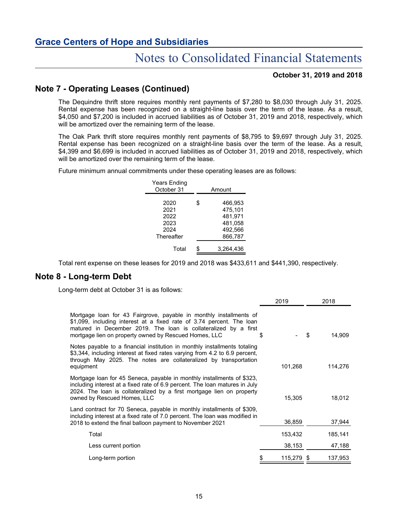#### **October 31, 2019 and 2018**

## **Note 7 - Operating Leases (Continued)**

The Dequindre thrift store requires monthly rent payments of \$7,280 to \$8,030 through July 31, 2025. Rental expense has been recognized on a straight-line basis over the term of the lease. As a result, \$4,050 and \$7,200 is included in accrued liabilities as of October 31, 2019 and 2018, respectively, which will be amortized over the remaining term of the lease.

The Oak Park thrift store requires monthly rent payments of \$8,795 to \$9,697 through July 31, 2025. Rental expense has been recognized on a straight-line basis over the term of the lease. As a result, \$4,399 and \$6,699 is included in accrued liabilities as of October 31, 2019 and 2018, respectively, which will be amortized over the remaining term of the lease.

Future minimum annual commitments under these operating leases are as follows:

| Years Ending<br>October 31                         | Amount                                                               |
|----------------------------------------------------|----------------------------------------------------------------------|
| 2020<br>2021<br>2022<br>2023<br>2024<br>Thereafter | \$<br>466,953<br>475,101<br>481,971<br>481,058<br>492.566<br>866,787 |
| Total                                              | \$<br>3,264,436                                                      |

Total rent expense on these leases for 2019 and 2018 was \$433,611 and \$441,390, respectively.

### **Note 8 - Long-term Debt**

Long-term debt at October 31 is as follows:

|                                                                                                                                                                                                                                                                         | 2019    | 2018           |
|-------------------------------------------------------------------------------------------------------------------------------------------------------------------------------------------------------------------------------------------------------------------------|---------|----------------|
| Mortgage loan for 43 Fairgrove, payable in monthly installments of<br>\$1,099, including interest at a fixed rate of 3.74 percent. The loan<br>matured in December 2019. The loan is collateralized by a first<br>mortgage lien on property owned by Rescued Homes, LLC | \$      | \$<br>14,909   |
| Notes payable to a financial institution in monthly installments totaling<br>\$3,344, including interest at fixed rates varying from 4.2 to 6.9 percent,<br>through May 2025. The notes are collateralized by transportation<br>equipment                               | 101,268 | 114,276        |
| Mortgage loan for 45 Seneca, payable in monthly installments of \$323,<br>including interest at a fixed rate of 6.9 percent. The loan matures in July<br>2024. The loan is collateralized by a first mortgage lien on property<br>owned by Rescued Homes, LLC           | 15,305  | 18,012         |
| Land contract for 70 Seneca, payable in monthly installments of \$309,<br>including interest at a fixed rate of 7.0 percent. The loan was modified in<br>2018 to extend the final balloon payment to November 2021                                                      | 36,859  | 37,944         |
| Total                                                                                                                                                                                                                                                                   | 153,432 | 185,141        |
| Less current portion                                                                                                                                                                                                                                                    | 38,153  | 47,188         |
| Long-term portion                                                                                                                                                                                                                                                       | 115,279 | 137,953<br>- 5 |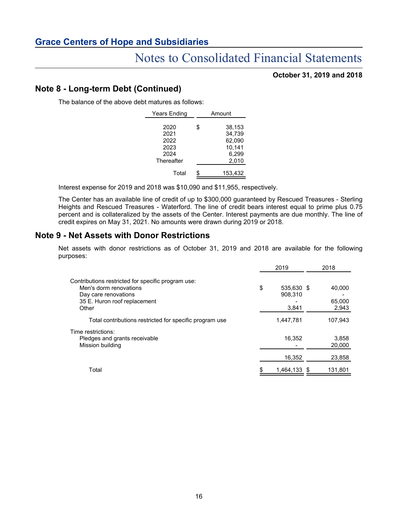## Notes to Consolidated Financial Statements

**October 31, 2019 and 2018**

## **Note 8 - Long-term Debt (Continued)**

The balance of the above debt matures as follows:

|   | Amount  |  |  |
|---|---------|--|--|
|   |         |  |  |
|   | 38,153  |  |  |
|   | 34.739  |  |  |
|   | 62.090  |  |  |
|   | 10.141  |  |  |
|   | 6.299   |  |  |
|   | 2,010   |  |  |
| S | 153,432 |  |  |
|   | \$      |  |  |

Interest expense for 2019 and 2018 was \$10,090 and \$11,955, respectively.

The Center has an available line of credit of up to \$300,000 guaranteed by Rescued Treasures - Sterling Heights and Rescued Treasures - Waterford. The line of credit bears interest equal to prime plus 0.75 percent and is collateralized by the assets of the Center. Interest payments are due monthly. The line of credit expires on May 31, 2021. No amounts were drawn during 2019 or 2018.

## **Note 9 - Net Assets with Donor Restrictions**

Net assets with donor restrictions as of October 31, 2019 and 2018 are available for the following purposes:

|                                                                                                                                               | 2019                                 | 2018                      |
|-----------------------------------------------------------------------------------------------------------------------------------------------|--------------------------------------|---------------------------|
| Contributions restricted for specific program use:<br>Men's dorm renovations<br>Day care renovations<br>35 E. Huron roof replacement<br>Other | \$<br>535.630 \$<br>908,310<br>3.841 | 40,000<br>65,000<br>2,943 |
| Total contributions restricted for specific program use                                                                                       | 1.447.781                            | 107.943                   |
| Time restrictions:<br>Pledges and grants receivable<br>Mission building                                                                       | 16.352                               | 3,858<br>20,000           |
|                                                                                                                                               | 16,352                               | 23,858                    |
| Total                                                                                                                                         | \$<br>1,464,133 \$                   | 131,801                   |